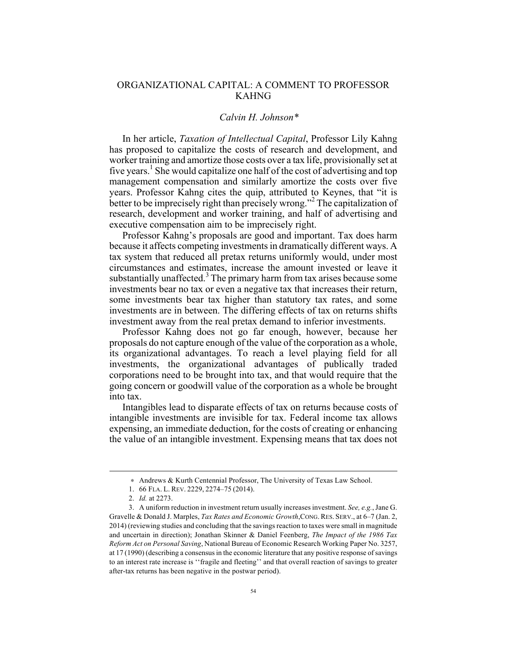## ORGANIZATIONAL CAPITAL: A COMMENT TO PROFESSOR KAHNG

## *Calvin H. Johnson\**<sup>∗</sup>

In her article, *Taxation of Intellectual Capital*, Professor Lily Kahng has proposed to capitalize the costs of research and development, and worker training and amortize those costs over a tax life, provisionally set at five years.<sup>1</sup> She would capitalize one half of the cost of advertising and top management compensation and similarly amortize the costs over five years. Professor Kahng cites the quip, attributed to Keynes, that "it is better to be imprecisely right than precisely wrong." <sup>2</sup> The capitalization of research, development and worker training, and half of advertising and executive compensation aim to be imprecisely right.

Professor Kahng's proposals are good and important. Tax does harm because it affects competing investments in dramatically different ways. A tax system that reduced all pretax returns uniformly would, under most circumstances and estimates, increase the amount invested or leave it substantially unaffected.<sup>3</sup> The primary harm from tax arises because some investments bear no tax or even a negative tax that increases their return, some investments bear tax higher than statutory tax rates, and some investments are in between. The differing effects of tax on returns shifts investment away from the real pretax demand to inferior investments.

Professor Kahng does not go far enough, however, because her proposals do not capture enough of the value of the corporation as a whole, its organizational advantages. To reach a level playing field for all investments, the organizational advantages of publically traded corporations need to be brought into tax, and that would require that the going concern or goodwill value of the corporation as a whole be brought into tax.

Intangibles lead to disparate effects of tax on returns because costs of intangible investments are invisible for tax. Federal income tax allows expensing, an immediate deduction, for the costs of creating or enhancing the value of an intangible investment. Expensing means that tax does not

1

<sup>∗</sup> Andrews & Kurth Centennial Professor, The University of Texas Law School.

<sup>1.</sup> 66 FLA. L. REV. 2229, 2274–75 (2014).

<sup>2.</sup> *Id.* at 2273.

<sup>3.</sup> A uniform reduction in investment return usually increases investment. *See, e.g.*, Jane G. Gravelle & Donald J. Marples, *Tax Rates and Economic Growth*,CONG.RES. SERV., at 6–7 (Jan. 2, 2014) (reviewing studies and concluding that the savings reaction to taxes were small in magnitude and uncertain in direction); Jonathan Skinner & Daniel Feenberg, *The Impact of the 1986 Tax Reform Act on Personal Saving*, National Bureau of Economic Research Working Paper No. 3257, at 17 (1990) (describing a consensus in the economic literature that any positive response of savings to an interest rate increase is ''fragile and fleeting'' and that overall reaction of savings to greater after-tax returns has been negative in the postwar period).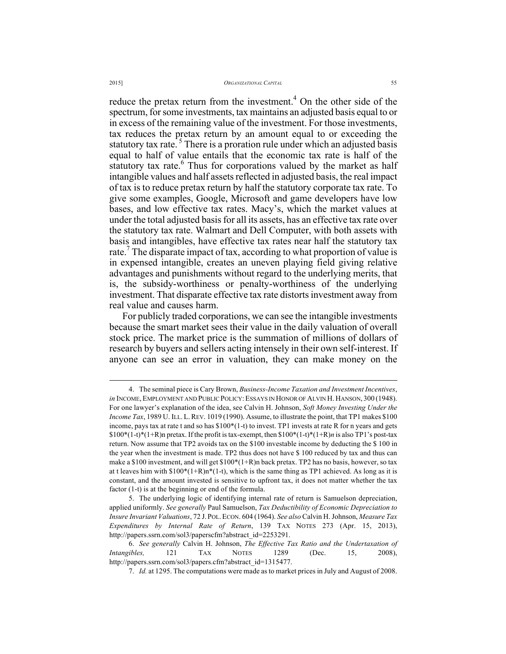reduce the pretax return from the investment.<sup>4</sup> On the other side of the spectrum, for some investments, tax maintains an adjusted basis equal to or in excess of the remaining value of the investment. For those investments, tax reduces the pretax return by an amount equal to or exceeding the statutory tax rate.<sup>5</sup> There is a proration rule under which an adjusted basis equal to half of value entails that the economic tax rate is half of the statutory tax rate.<sup>6</sup> Thus for corporations valued by the market as half intangible values and half assets reflected in adjusted basis, the real impact of tax is to reduce pretax return by half the statutory corporate tax rate. To give some examples, Google, Microsoft and game developers have low bases, and low effective tax rates. Macy's, which the market values at under the total adjusted basis for all its assets, has an effective tax rate over the statutory tax rate. Walmart and Dell Computer, with both assets with basis and intangibles, have effective tax rates near half the statutory tax rate.<sup>7</sup> The disparate impact of tax, according to what proportion of value is in expensed intangible, creates an uneven playing field giving relative advantages and punishments without regard to the underlying merits, that is, the subsidy-worthiness or penalty-worthiness of the underlying investment. That disparate effective tax rate distorts investment away from real value and causes harm.

For publicly traded corporations, we can see the intangible investments because the smart market sees their value in the daily valuation of overall stock price. The market price is the summation of millions of dollars of research by buyers and sellers acting intensely in their own self-interest. If anyone can see an error in valuation, they can make money on the

 <sup>4.</sup> The seminal piece is Cary Brown, *Business-Income Taxation and Investment Incentives*, *in* INCOME, EMPLOYMENT AND PUBLIC POLICY: ESSAYS IN HONOR OF ALVIN H. HANSON, 300 (1948). For one lawyer's explanation of the idea, see Calvin H. Johnson, *Soft Money Investing Under the Income Tax*, 1989 U. ILL. L. REV. 1019 (1990). Assume, to illustrate the point, that TP1 makes \$100 income, pays tax at rate t and so has  $$100*(1-t)$  to invest. TP1 invests at rate R for n years and gets \$100\*(1-t)\*(1+R)n pretax. If the profit is tax-exempt, then \$100\*(1-t)\*(1+R)*n* is also TP1's post-tax return. Now assume that TP2 avoids tax on the \$100 investable income by deducting the \$ 100 in the year when the investment is made. TP2 thus does not have \$ 100 reduced by tax and thus can make a \$100 investment, and will get  $$100*(1+R)$ n back pretax. TP2 has no basis, however, so tax at t leaves him with  $$100*(1+R)n*(1-t)$ , which is the same thing as TP1 achieved. As long as it is constant, and the amount invested is sensitive to upfront tax, it does not matter whether the tax factor (1-t) is at the beginning or end of the formula.

<sup>5.</sup> The underlying logic of identifying internal rate of return is Samuelson depreciation, applied uniformly. *See generally* Paul Samuelson, *Tax Deductibility of Economic Depreciation to Insure Invariant Valuations*, 72 J. POL.ECON. 604 (1964). *See also* Calvin H. Johnson, *Measure Tax Expenditures by Internal Rate of Return*, 139 TAX NOTES 273 (Apr. 15, 2013), http://papers.ssrn.com/sol3/paperscfm?abstract\_id=2253291.

<sup>6.</sup> *See generally* Calvin H. Johnson, *The Effective Tax Ratio and the Undertaxation of Intangibles,* 121 TAX NOTES 1289 (Dec. 15, 2008), http://papers.ssrn.com/sol3/papers.cfm?abstract\_id=1315477.

<sup>7.</sup> *Id.* at 1295. The computations were made as to market prices in July and August of 2008.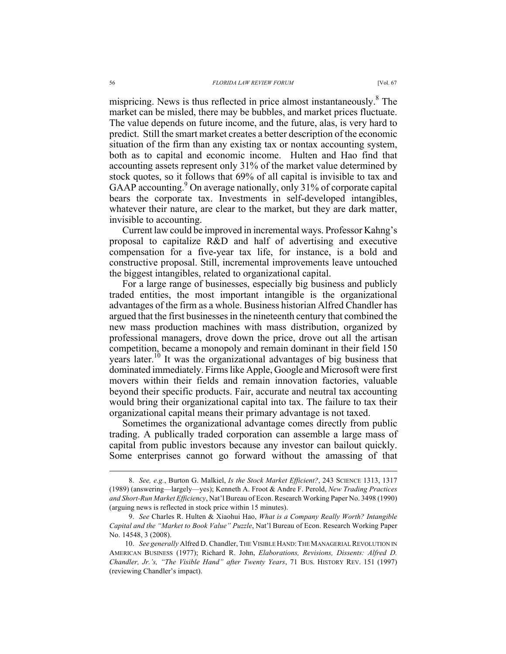mispricing. News is thus reflected in price almost instantaneously.<sup>8</sup> The market can be misled, there may be bubbles, and market prices fluctuate. The value depends on future income, and the future, alas, is very hard to predict. Still the smart market creates a better description of the economic situation of the firm than any existing tax or nontax accounting system, both as to capital and economic income. Hulten and Hao find that accounting assets represent only 31% of the market value determined by stock quotes, so it follows that 69% of all capital is invisible to tax and GAAP accounting.<sup>9</sup> On average nationally, only 31% of corporate capital bears the corporate tax. Investments in self-developed intangibles, whatever their nature, are clear to the market, but they are dark matter, invisible to accounting.

Current law could be improved in incremental ways. Professor Kahng's proposal to capitalize R&D and half of advertising and executive compensation for a five-year tax life, for instance, is a bold and constructive proposal. Still, incremental improvements leave untouched the biggest intangibles, related to organizational capital.

For a large range of businesses, especially big business and publicly traded entities, the most important intangible is the organizational advantages of the firm as a whole. Business historian Alfred Chandler has argued that the first businesses in the nineteenth century that combined the new mass production machines with mass distribution, organized by professional managers, drove down the price, drove out all the artisan competition, became a monopoly and remain dominant in their field 150 years later.<sup>10</sup> It was the organizational advantages of big business that dominated immediately. Firms like Apple, Google and Microsoft were first movers within their fields and remain innovation factories, valuable beyond their specific products. Fair, accurate and neutral tax accounting would bring their organizational capital into tax. The failure to tax their organizational capital means their primary advantage is not taxed.

Sometimes the organizational advantage comes directly from public trading. A publically traded corporation can assemble a large mass of capital from public investors because any investor can bailout quickly. Some enterprises cannot go forward without the amassing of that

 <sup>8.</sup> *See, e.g.*, Burton G. Malkiel, *Is the Stock Market Efficient?*, 243 SCIENCE 1313, 1317 (1989) (answering—largely—yes); Kenneth A. Froot & Andre F. Perold, *New Trading Practices and Short-Run Market Efficiency*, Nat'l Bureau of Econ. Research Working Paper No. 3498 (1990) (arguing news is reflected in stock price within 15 minutes).

<sup>9.</sup> *See* Charles R. Hulten & Xiaohui Hao, *What is a Company Really Worth? Intangible Capital and the "Market to Book Value" Puzzle*, Nat'l Bureau of Econ. Research Working Paper No. 14548, 3 (2008).

<sup>10.</sup> *See generally* Alfred D. Chandler, THE VISIBLE HAND:THE MANAGERIAL REVOLUTION IN AMERICAN BUSINESS (1977); Richard R. John, *Elaborations, Revisions, Dissents: Alfred D. Chandler, Jr.'s, "The Visible Hand" after Twenty Years*, 71 BUS. HISTORY REV. 151 (1997) (reviewing Chandler's impact).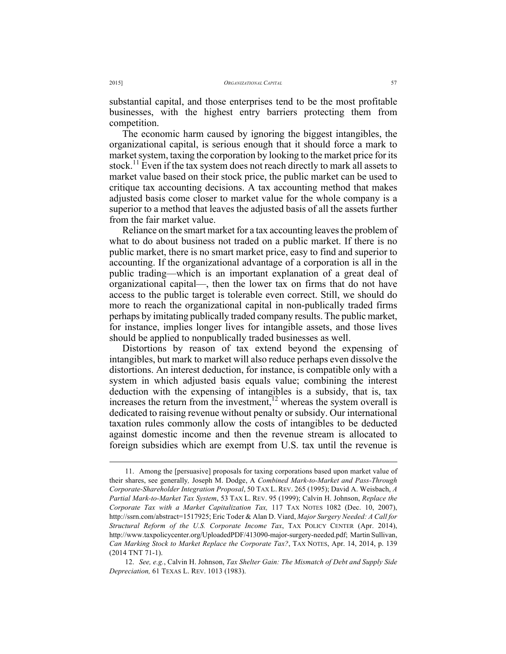substantial capital, and those enterprises tend to be the most profitable businesses, with the highest entry barriers protecting them from competition.

The economic harm caused by ignoring the biggest intangibles, the organizational capital, is serious enough that it should force a mark to market system, taxing the corporation by looking to the market price for its stock.<sup>11</sup> Even if the tax system does not reach directly to mark all assets to market value based on their stock price, the public market can be used to critique tax accounting decisions. A tax accounting method that makes adjusted basis come closer to market value for the whole company is a superior to a method that leaves the adjusted basis of all the assets further from the fair market value.

Reliance on the smart market for a tax accounting leaves the problem of what to do about business not traded on a public market. If there is no public market, there is no smart market price, easy to find and superior to accounting. If the organizational advantage of a corporation is all in the public trading—which is an important explanation of a great deal of organizational capital—, then the lower tax on firms that do not have access to the public target is tolerable even correct. Still, we should do more to reach the organizational capital in non-publically traded firms perhaps by imitating publically traded company results. The public market, for instance, implies longer lives for intangible assets, and those lives should be applied to nonpublically traded businesses as well.

Distortions by reason of tax extend beyond the expensing of intangibles, but mark to market will also reduce perhaps even dissolve the distortions. An interest deduction, for instance, is compatible only with a system in which adjusted basis equals value; combining the interest deduction with the expensing of intangibles is a subsidy, that is, tax increases the return from the investment,<sup>12</sup> whereas the system overall is dedicated to raising revenue without penalty or subsidy. Our international taxation rules commonly allow the costs of intangibles to be deducted against domestic income and then the revenue stream is allocated to foreign subsidies which are exempt from U.S. tax until the revenue is

 <sup>11.</sup> Among the [persuasive] proposals for taxing corporations based upon market value of their shares, see generally*,* Joseph M. Dodge, A *Combined Mark-to-Market and Pass-Through Corporate-Shareholder Integration Proposal*, 50 TAX L. REV. 265 (1995); David A. Weisbach, *A Partial Mark-to-Market Tax System*, 53 TAX L. REV. 95 (1999); Calvin H. Johnson, *Replace the Corporate Tax with a Market Capitalization Tax,* 117 TAX NOTES 1082 (Dec. 10, 2007), http://ssrn.com/abstract=1517925; Eric Toder & Alan D. Viard, *Major Surgery Needed: A Call for Structural Reform of the U.S. Corporate Income Tax*, TAX POLICY CENTER (Apr. 2014), http://www.taxpolicycenter.org/UploadedPDF/413090-major-surgery-needed.pdf; Martin Sullivan, *Can Marking Stock to Market Replace the Corporate Tax?*, TAX NOTES, Apr. 14, 2014, p. 139 (2014 TNT 71-1).

<sup>12.</sup> *See, e.g.*, Calvin H. Johnson, *Tax Shelter Gain: The Mismatch of Debt and Supply Side Depreciation,* 61 TEXAS L. REV. 1013 (1983).